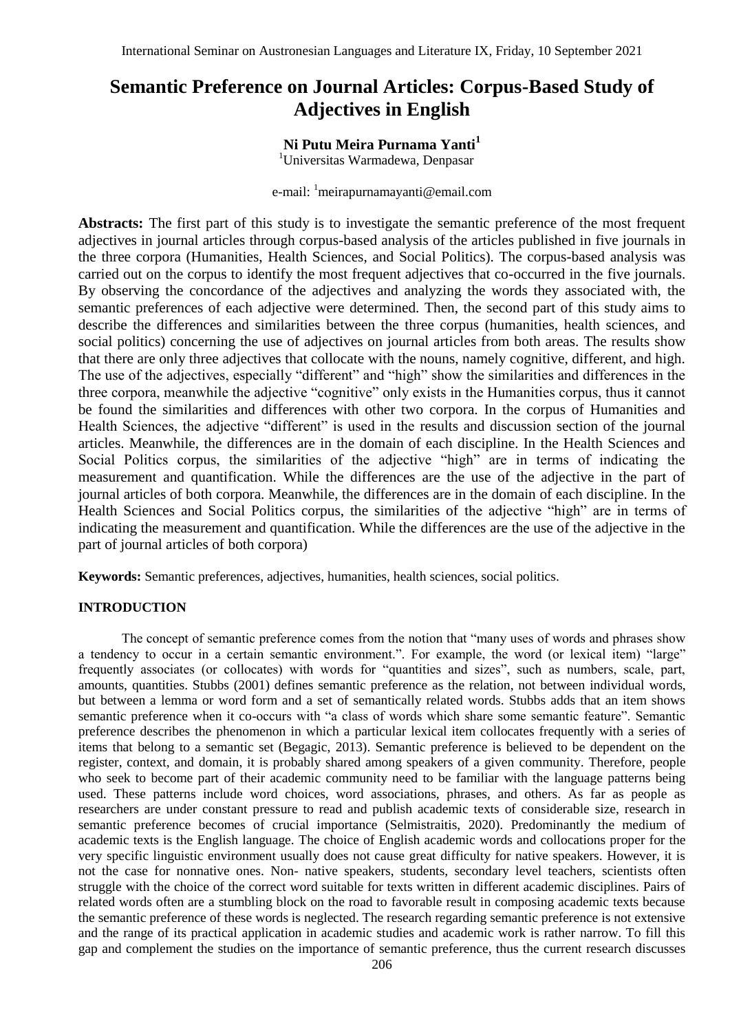# **Semantic Preference on Journal Articles: Corpus-Based Study of Adjectives in English**

## **Ni Putu Meira Purnama Yanti<sup>1</sup>**

<sup>1</sup>Universitas Warmadewa, Denpasar

e-mail: <sup>1</sup>meirapurnamayanti@email.com

Abstracts: The first part of this study is to investigate the semantic preference of the most frequent adjectives in journal articles through corpus-based analysis of the articles published in five journals in the three corpora (Humanities, Health Sciences, and Social Politics). The corpus-based analysis was carried out on the corpus to identify the most frequent adjectives that co-occurred in the five journals. By observing the concordance of the adjectives and analyzing the words they associated with, the semantic preferences of each adjective were determined. Then, the second part of this study aims to describe the differences and similarities between the three corpus (humanities, health sciences, and social politics) concerning the use of adjectives on journal articles from both areas. The results show that there are only three adjectives that collocate with the nouns, namely cognitive, different, and high. The use of the adjectives, especially "different" and "high" show the similarities and differences in the three corpora, meanwhile the adjective "cognitive" only exists in the Humanities corpus, thus it cannot be found the similarities and differences with other two corpora. In the corpus of Humanities and Health Sciences, the adjective "different" is used in the results and discussion section of the journal articles. Meanwhile, the differences are in the domain of each discipline. In the Health Sciences and Social Politics corpus, the similarities of the adjective "high" are in terms of indicating the measurement and quantification. While the differences are the use of the adjective in the part of journal articles of both corpora. Meanwhile, the differences are in the domain of each discipline. In the Health Sciences and Social Politics corpus, the similarities of the adjective "high" are in terms of indicating the measurement and quantification. While the differences are the use of the adjective in the part of journal articles of both corpora)

**Keywords:** Semantic preferences, adjectives, humanities, health sciences, social politics.

#### **INTRODUCTION**

The concept of semantic preference comes from the notion that "many uses of words and phrases show a tendency to occur in a certain semantic environment.". For example, the word (or lexical item) "large" frequently associates (or collocates) with words for "quantities and sizes", such as numbers, scale, part, amounts, quantities. Stubbs (2001) defines semantic preference as the relation, not between individual words, but between a lemma or word form and a set of semantically related words. Stubbs adds that an item shows semantic preference when it co-occurs with "a class of words which share some semantic feature". Semantic preference describes the phenomenon in which a particular lexical item collocates frequently with a series of items that belong to a semantic set (Begagic, 2013). Semantic preference is believed to be dependent on the register, context, and domain, it is probably shared among speakers of a given community. Therefore, people who seek to become part of their academic community need to be familiar with the language patterns being used. These patterns include word choices, word associations, phrases, and others. As far as people as researchers are under constant pressure to read and publish academic texts of considerable size, research in semantic preference becomes of crucial importance (Selmistraitis, 2020). Predominantly the medium of academic texts is the English language. The choice of English academic words and collocations proper for the very specific linguistic environment usually does not cause great difficulty for native speakers. However, it is not the case for nonnative ones. Non- native speakers, students, secondary level teachers, scientists often struggle with the choice of the correct word suitable for texts written in different academic disciplines. Pairs of related words often are a stumbling block on the road to favorable result in composing academic texts because the semantic preference of these words is neglected. The research regarding semantic preference is not extensive and the range of its practical application in academic studies and academic work is rather narrow. To fill this gap and complement the studies on the importance of semantic preference, thus the current research discusses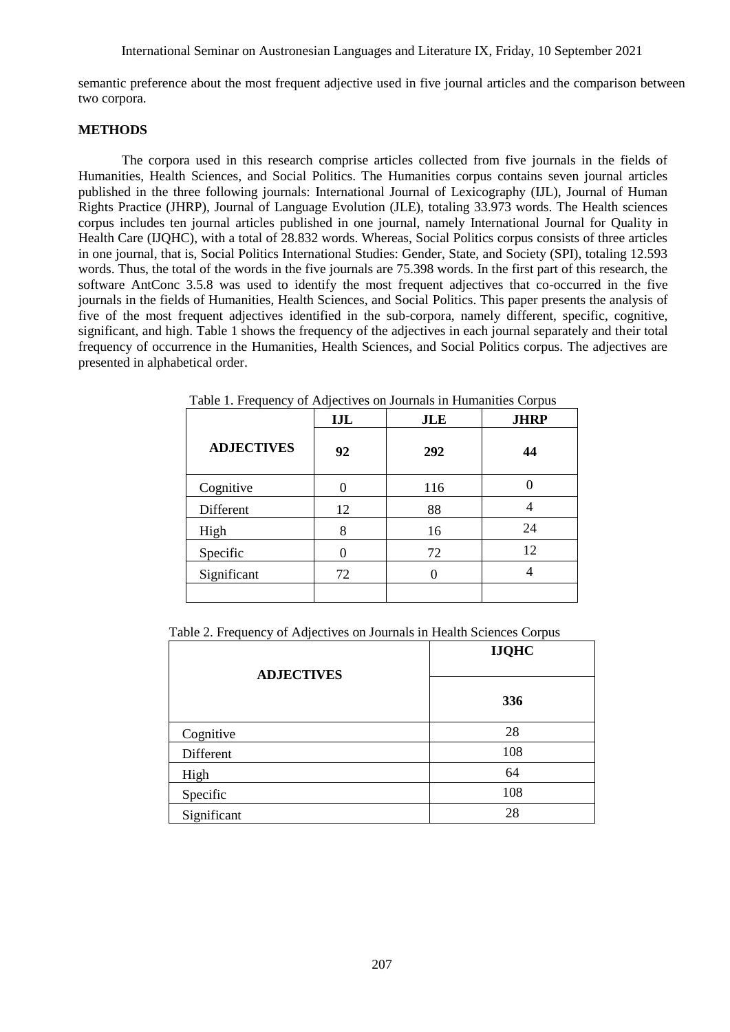semantic preference about the most frequent adjective used in five journal articles and the comparison between two corpora.

#### **METHODS**

The corpora used in this research comprise articles collected from five journals in the fields of Humanities, Health Sciences, and Social Politics. The Humanities corpus contains seven journal articles published in the three following journals: International Journal of Lexicography (IJL), Journal of Human Rights Practice (JHRP), Journal of Language Evolution (JLE), totaling 33.973 words. The Health sciences corpus includes ten journal articles published in one journal, namely International Journal for Quality in Health Care (IJQHC), with a total of 28.832 words. Whereas, Social Politics corpus consists of three articles in one journal, that is, Social Politics International Studies: Gender, State, and Society (SPI), totaling 12.593 words. Thus, the total of the words in the five journals are 75.398 words. In the first part of this research, the software AntConc 3.5.8 was used to identify the most frequent adjectives that co-occurred in the five journals in the fields of Humanities, Health Sciences, and Social Politics. This paper presents the analysis of five of the most frequent adjectives identified in the sub-corpora, namely different, specific, cognitive, significant, and high. Table 1 shows the frequency of the adjectives in each journal separately and their total frequency of occurrence in the Humanities, Health Sciences, and Social Politics corpus. The adjectives are presented in alphabetical order.

|                   | <b>IJL</b> | <b>JLE</b> | <b>JHRP</b> |
|-------------------|------------|------------|-------------|
| <b>ADJECTIVES</b> | 92         | 292        | 44          |
| Cognitive         |            | 116        |             |
| Different         | 12         | 88         |             |
| High              | 8          | 16         | 24          |
| Specific          |            | 72         | 12          |
| Significant       | 72         |            |             |
|                   |            |            |             |

Table 1. Frequency of Adjectives on Journals in Humanities Corpus

Table 2. Frequency of Adjectives on Journals in Health Sciences Corpus

| <b>ADJECTIVES</b> | <b>IJQHC</b> |  |
|-------------------|--------------|--|
|                   | 336          |  |
| Cognitive         | 28           |  |
| Different         | 108          |  |
| High              | 64           |  |
| Specific          | 108          |  |
| Significant       | 28           |  |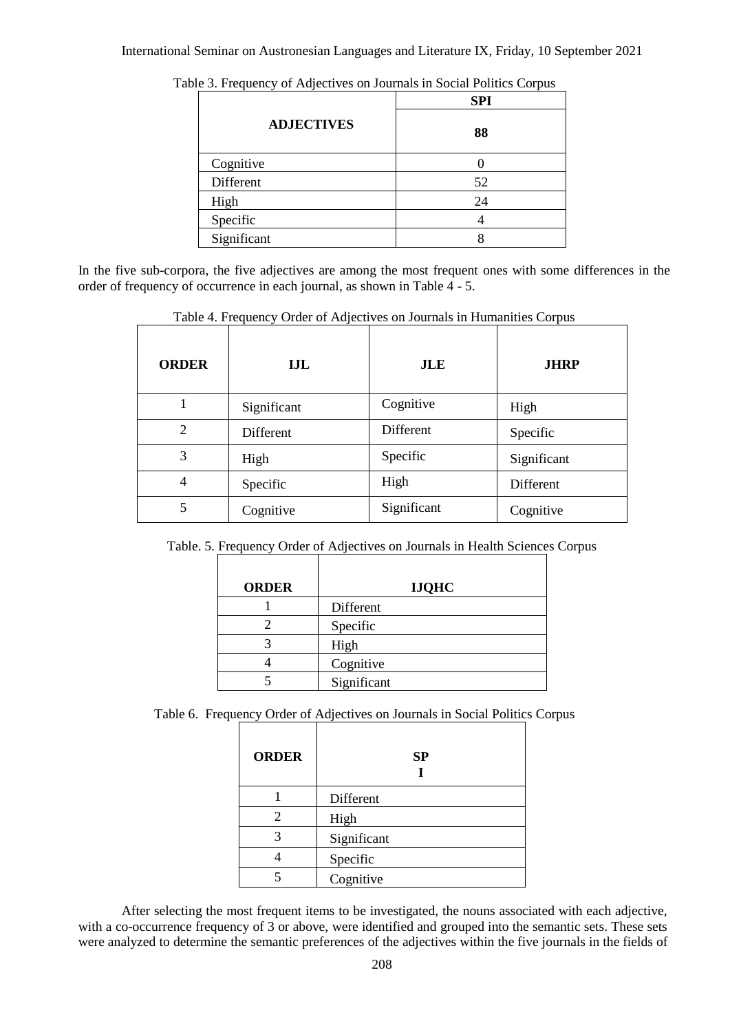|                   | <b>SPI</b> |
|-------------------|------------|
| <b>ADJECTIVES</b> | 88         |
| Cognitive         |            |
| Different         | 52         |
| High              | 24         |
| Specific          |            |
| Significant       |            |

Table 3. Frequency of Adjectives on Journals in Social Politics Corpus

In the five sub-corpora, the five adjectives are among the most frequent ones with some differences in the order of frequency of occurrence in each journal, as shown in Table 4 - 5.

| <b>ORDER</b>   | IJL         | <b>JLE</b>  | <b>JHRP</b> |
|----------------|-------------|-------------|-------------|
|                | Significant | Cognitive   | High        |
| $\overline{2}$ | Different   | Different   | Specific    |
| 3              | High        | Specific    | Significant |
| 4              | Specific    | High        | Different   |
| 5              | Cognitive   | Significant | Cognitive   |

Table 4. Frequency Order of Adjectives on Journals in Humanities Corpus

Table. 5. Frequency Order of Adjectives on Journals in Health Sciences Corpus

| <b>ORDER</b> | <b>IJQHC</b> |
|--------------|--------------|
|              | Different    |
|              | Specific     |
|              | High         |
|              | Cognitive    |
|              | Significant  |

Table 6. Frequency Order of Adjectives on Journals in Social Politics Corpus

| <b>ORDER</b> | SP          |
|--------------|-------------|
|              | Different   |
| 2            | High        |
| 3            | Significant |
|              | Specific    |
|              | Cognitive   |

After selecting the most frequent items to be investigated, the nouns associated with each adjective, with a co-occurrence frequency of 3 or above, were identified and grouped into the semantic sets. These sets were analyzed to determine the semantic preferences of the adjectives within the five journals in the fields of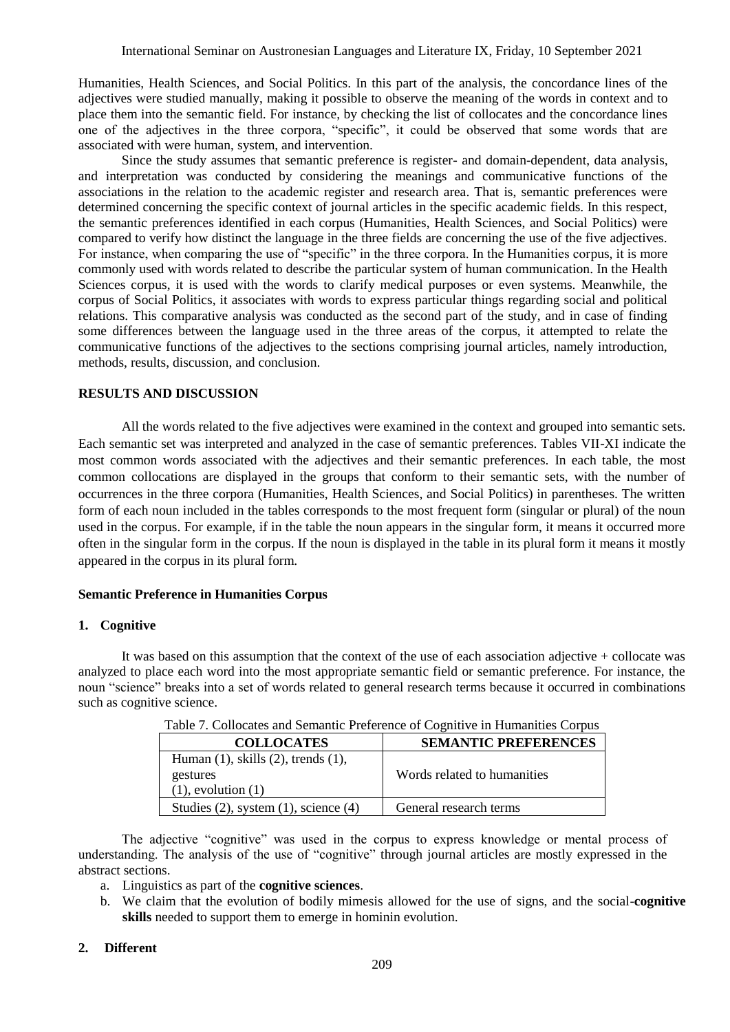Humanities, Health Sciences, and Social Politics. In this part of the analysis, the concordance lines of the adjectives were studied manually, making it possible to observe the meaning of the words in context and to place them into the semantic field. For instance, by checking the list of collocates and the concordance lines one of the adjectives in the three corpora, "specific", it could be observed that some words that are associated with were human, system, and intervention.

Since the study assumes that semantic preference is register- and domain-dependent, data analysis, and interpretation was conducted by considering the meanings and communicative functions of the associations in the relation to the academic register and research area. That is, semantic preferences were determined concerning the specific context of journal articles in the specific academic fields. In this respect, the semantic preferences identified in each corpus (Humanities, Health Sciences, and Social Politics) were compared to verify how distinct the language in the three fields are concerning the use of the five adjectives. For instance, when comparing the use of "specific" in the three corpora. In the Humanities corpus, it is more commonly used with words related to describe the particular system of human communication. In the Health Sciences corpus, it is used with the words to clarify medical purposes or even systems. Meanwhile, the corpus of Social Politics, it associates with words to express particular things regarding social and political relations. This comparative analysis was conducted as the second part of the study, and in case of finding some differences between the language used in the three areas of the corpus, it attempted to relate the communicative functions of the adjectives to the sections comprising journal articles, namely introduction, methods, results, discussion, and conclusion.

## **RESULTS AND DISCUSSION**

All the words related to the five adjectives were examined in the context and grouped into semantic sets. Each semantic set was interpreted and analyzed in the case of semantic preferences. Tables VII-XI indicate the most common words associated with the adjectives and their semantic preferences. In each table, the most common collocations are displayed in the groups that conform to their semantic sets, with the number of occurrences in the three corpora (Humanities, Health Sciences, and Social Politics) in parentheses. The written form of each noun included in the tables corresponds to the most frequent form (singular or plural) of the noun used in the corpus. For example, if in the table the noun appears in the singular form, it means it occurred more often in the singular form in the corpus. If the noun is displayed in the table in its plural form it means it mostly appeared in the corpus in its plural form.

## **Semantic Preference in Humanities Corpus**

#### **1. Cognitive**

It was based on this assumption that the context of the use of each association adjective + collocate was analyzed to place each word into the most appropriate semantic field or semantic preference. For instance, the noun "science" breaks into a set of words related to general research terms because it occurred in combinations such as cognitive science.

| Tuble 1: Conocates and Benhamic I reference of Cognitive in Hamanities Corpus |                             |  |
|-------------------------------------------------------------------------------|-----------------------------|--|
| <b>COLLOCATES</b>                                                             | <b>SEMANTIC PREFERENCES</b> |  |
| Human $(1)$ , skills $(2)$ , trends $(1)$ ,                                   |                             |  |
| gestures                                                                      | Words related to humanities |  |
| $(1)$ , evolution $(1)$                                                       |                             |  |
| Studies $(2)$ , system $(1)$ , science $(4)$                                  | General research terms      |  |

Table 7. Collocates and Semantic Preference of Cognitive in Humanities Corpus

The adjective "cognitive" was used in the corpus to express knowledge or mental process of understanding. The analysis of the use of "cognitive" through journal articles are mostly expressed in the abstract sections.

- a. Linguistics as part of the **cognitive sciences**.
- b. We claim that the evolution of bodily mimesis allowed for the use of signs, and the social-**cognitive skills** needed to support them to emerge in hominin evolution.

## **2. Different**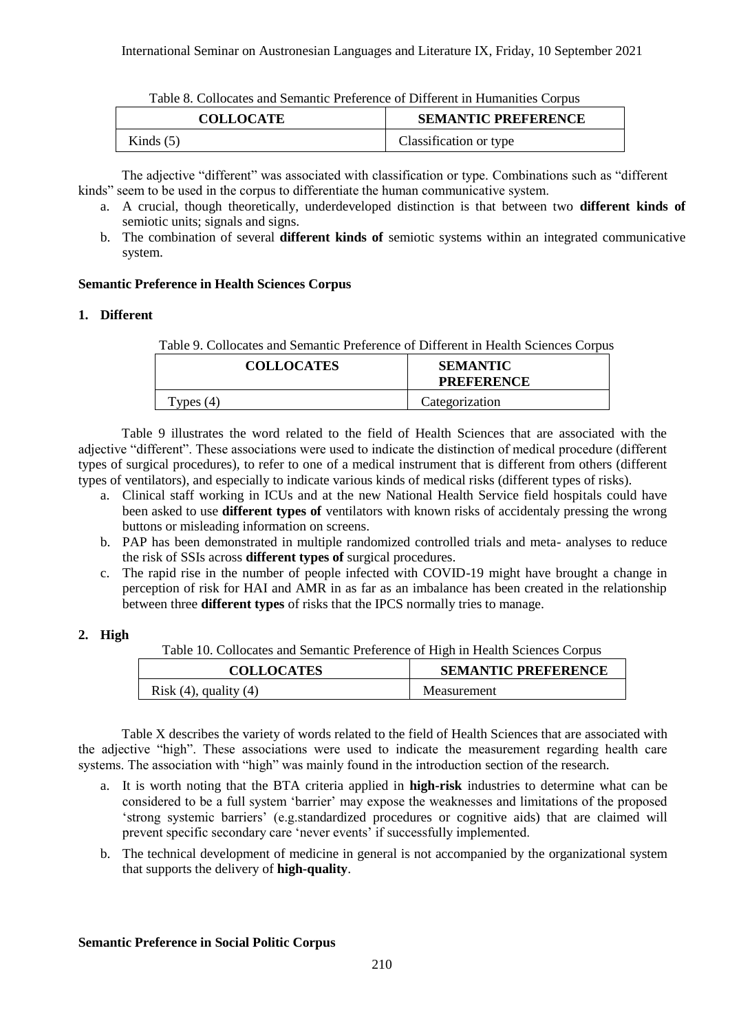| l'able 8. Collocates and Semantic Preference of Different in Humanities Corpus |                            |
|--------------------------------------------------------------------------------|----------------------------|
| <b>COLLOCATE</b>                                                               | <b>SEMANTIC PREFERENCE</b> |
| Kinds $(5)$                                                                    | Classification or type     |

Table 8. Collocates and Semantic Preference of Different in Humanities Corpus

The adjective "different" was associated with classification or type. Combinations such as "different kinds" seem to be used in the corpus to differentiate the human communicative system.

- a. A crucial, though theoretically, underdeveloped distinction is that between two **different kinds of**  semiotic units; signals and signs.
- b. The combination of several **different kinds of** semiotic systems within an integrated communicative system.

## **Semantic Preference in Health Sciences Corpus**

## **1. Different**

Table 9. Collocates and Semantic Preference of Different in Health Sciences Corpus

| <b>COLLOCATES</b> | <b>SEMANTIC</b><br><b>PREFERENCE</b> |
|-------------------|--------------------------------------|
| Types $(4)$       | Categorization                       |

Table 9 illustrates the word related to the field of Health Sciences that are associated with the adjective "different". These associations were used to indicate the distinction of medical procedure (different types of surgical procedures), to refer to one of a medical instrument that is different from others (different types of ventilators), and especially to indicate various kinds of medical risks (different types of risks).

- a. Clinical staff working in ICUs and at the new National Health Service field hospitals could have been asked to use **different types of** ventilators with known risks of accidentaly pressing the wrong buttons or misleading information on screens.
- b. PAP has been demonstrated in multiple randomized controlled trials and meta- analyses to reduce the risk of SSIs across **different types of** surgical procedures.
- c. The rapid rise in the number of people infected with COVID-19 might have brought a change in perception of risk for HAI and AMR in as far as an imbalance has been created in the relationship between three **different types** of risks that the IPCS normally tries to manage.

## **2. High**

Table 10. Collocates and Semantic Preference of High in Health Sciences Corpus

| <b>COLLOCATES</b>          | <b>SEMANTIC PREFERENCE</b> |
|----------------------------|----------------------------|
| Risk $(4)$ , quality $(4)$ | <b>Measurement</b>         |

Table X describes the variety of words related to the field of Health Sciences that are associated with the adjective "high". These associations were used to indicate the measurement regarding health care systems. The association with "high" was mainly found in the introduction section of the research.

- a. It is worth noting that the BTA criteria applied in **high-risk** industries to determine what can be considered to be a full system 'barrier' may expose the weaknesses and limitations of the proposed 'strong systemic barriers' (e.g.standardized procedures or cognitive aids) that are claimed will prevent specific secondary care 'never events' if successfully implemented.
- b. The technical development of medicine in general is not accompanied by the organizational system that supports the delivery of **high-quality**.

## **Semantic Preference in Social Politic Corpus**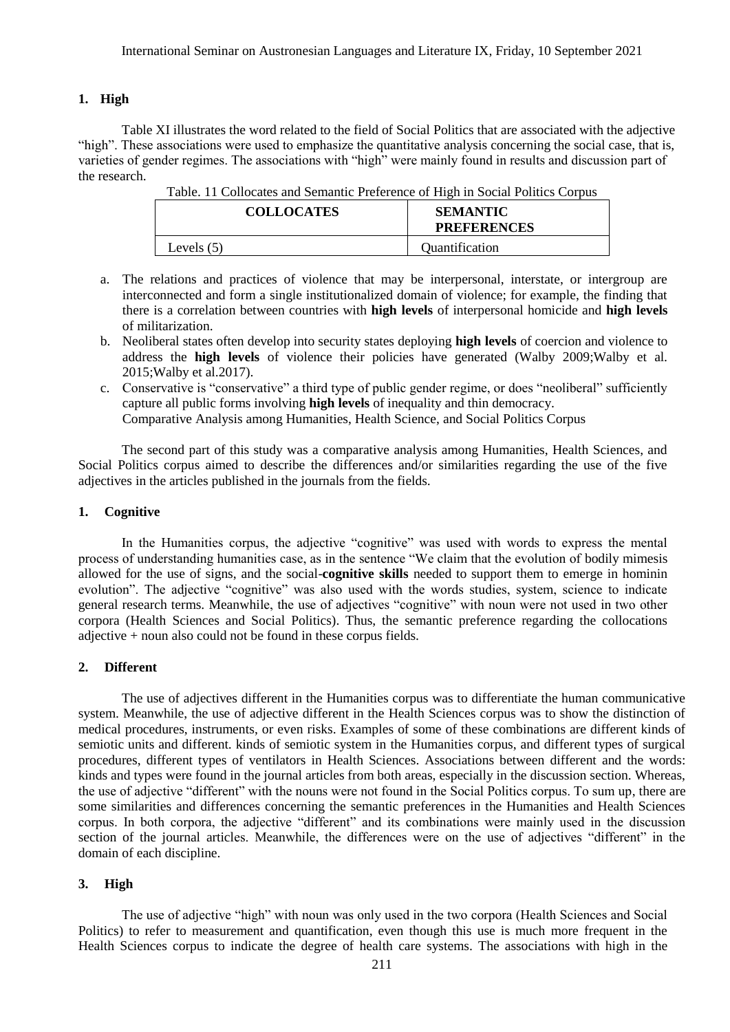#### **1. High**

Table XI illustrates the word related to the field of Social Politics that are associated with the adjective "high". These associations were used to emphasize the quantitative analysis concerning the social case, that is, varieties of gender regimes. The associations with "high" were mainly found in results and discussion part of the research.

| <b>COLLOCATES</b> | <b>SEMANTIC</b><br><b>PREFERENCES</b> |
|-------------------|---------------------------------------|
| Levels $(5)$      | Quantification                        |

Table. 11 Collocates and Semantic Preference of High in Social Politics Corpus

- a. The relations and practices of violence that may be interpersonal, interstate, or intergroup are interconnected and form a single institutionalized domain of violence; for example, the finding that there is a correlation between countries with **high levels** of interpersonal homicide and **high levels**  of militarization.
- b. Neoliberal states often develop into security states deploying **high levels** of coercion and violence to address the **high levels** of violence their policies have generated (Walby 2009;Walby et al. 2015;Walby et al.2017).
- c. Conservative is "conservative" a third type of public gender regime, or does "neoliberal" sufficiently capture all public forms involving **high levels** of inequality and thin democracy. Comparative Analysis among Humanities, Health Science, and Social Politics Corpus

The second part of this study was a comparative analysis among Humanities, Health Sciences, and Social Politics corpus aimed to describe the differences and/or similarities regarding the use of the five adjectives in the articles published in the journals from the fields.

#### **1. Cognitive**

In the Humanities corpus, the adjective "cognitive" was used with words to express the mental process of understanding humanities case, as in the sentence "We claim that the evolution of bodily mimesis allowed for the use of signs, and the social-**cognitive skills** needed to support them to emerge in hominin evolution". The adjective "cognitive" was also used with the words studies, system, science to indicate general research terms. Meanwhile, the use of adjectives "cognitive" with noun were not used in two other corpora (Health Sciences and Social Politics). Thus, the semantic preference regarding the collocations adjective + noun also could not be found in these corpus fields.

## **2. Different**

The use of adjectives different in the Humanities corpus was to differentiate the human communicative system. Meanwhile, the use of adjective different in the Health Sciences corpus was to show the distinction of medical procedures, instruments, or even risks. Examples of some of these combinations are different kinds of semiotic units and different. kinds of semiotic system in the Humanities corpus, and different types of surgical procedures, different types of ventilators in Health Sciences. Associations between different and the words: kinds and types were found in the journal articles from both areas, especially in the discussion section. Whereas, the use of adjective "different" with the nouns were not found in the Social Politics corpus. To sum up, there are some similarities and differences concerning the semantic preferences in the Humanities and Health Sciences corpus. In both corpora, the adjective "different" and its combinations were mainly used in the discussion section of the journal articles. Meanwhile, the differences were on the use of adjectives "different" in the domain of each discipline.

#### **3. High**

The use of adjective "high" with noun was only used in the two corpora (Health Sciences and Social Politics) to refer to measurement and quantification, even though this use is much more frequent in the Health Sciences corpus to indicate the degree of health care systems. The associations with high in the